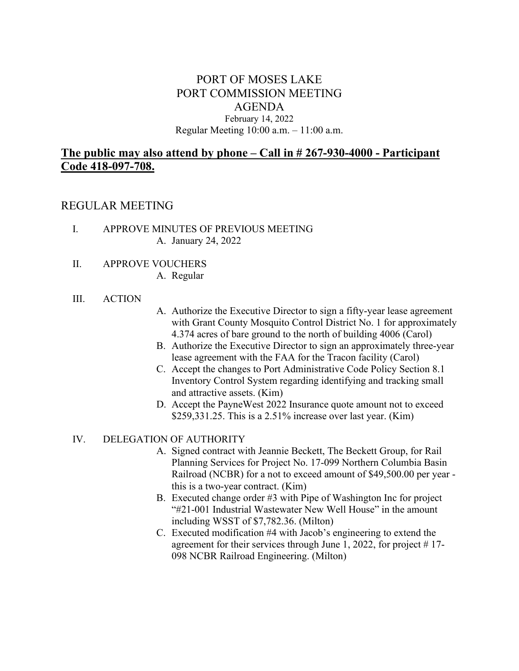## PORT OF MOSES LAKE PORT COMMISSION MEETING AGENDA February 14, 2022 Regular Meeting 10:00 a.m. – 11:00 a.m.

# **The public may also attend by phone – Call in # 267-930-4000 - Participant Code 418-097-708.**

## REGULAR MEETING

- I. APPROVE MINUTES OF PREVIOUS MEETING A. January 24, 2022
- II. APPROVE VOUCHERS A. Regular

#### III. ACTION

- A. Authorize the Executive Director to sign a fifty-year lease agreement with Grant County Mosquito Control District No. 1 for approximately 4.374 acres of bare ground to the north of building 4006 (Carol)
- B. Authorize the Executive Director to sign an approximately three-year lease agreement with the FAA for the Tracon facility (Carol)
- C. Accept the changes to Port Administrative Code Policy Section 8.1 Inventory Control System regarding identifying and tracking small and attractive assets. (Kim)
- D. Accept the PayneWest 2022 Insurance quote amount not to exceed \$259,331.25. This is a 2.51% increase over last year. (Kim)

### IV. DELEGATION OF AUTHORITY

- A. Signed contract with Jeannie Beckett, The Beckett Group, for Rail Planning Services for Project No. 17-099 Northern Columbia Basin Railroad (NCBR) for a not to exceed amount of \$49,500.00 per year this is a two-year contract. (Kim)
- B. Executed change order #3 with Pipe of Washington Inc for project "#21-001 Industrial Wastewater New Well House" in the amount including WSST of \$7,782.36. (Milton)
- C. Executed modification #4 with Jacob's engineering to extend the agreement for their services through June 1, 2022, for project # 17- 098 NCBR Railroad Engineering. (Milton)